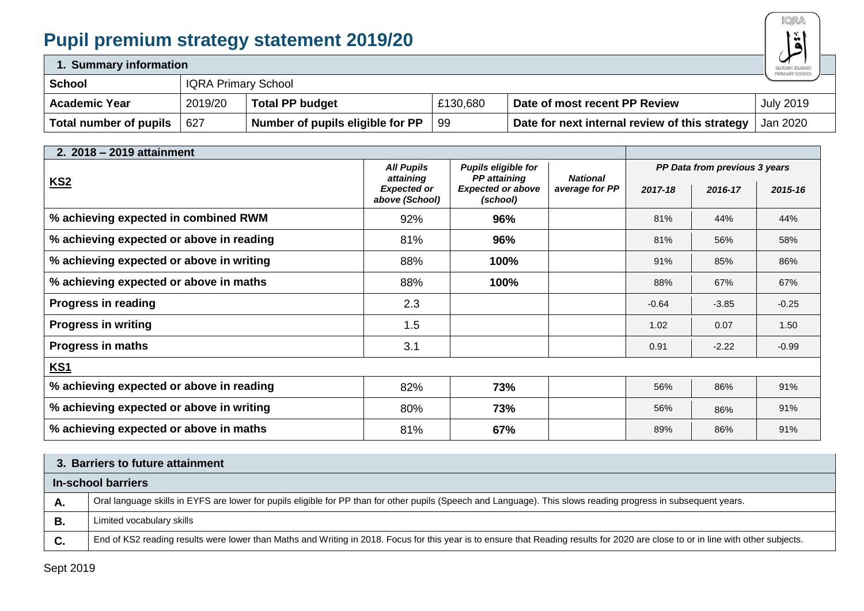# **Pupil premium strategy statement 2019/20**



| 1. Summary information |         |                                              |          |                                                |                  |  |
|------------------------|---------|----------------------------------------------|----------|------------------------------------------------|------------------|--|
| <b>School</b>          |         | PRIMARY SCHOOL<br><b>IQRA Primary School</b> |          |                                                |                  |  |
| <b>Academic Year</b>   | 2019/20 | <b>Total PP budget</b>                       | £130,680 | Date of most recent PP Review                  | <b>July 2019</b> |  |
| Total number of pupils | 627     | Number of pupils eligible for PP             | 99       | Date for next internal review of this strategy | Jan 2020         |  |

| 2. 2018 - 2019 attainment                |                                      |                                            |                 |                               |         |         |
|------------------------------------------|--------------------------------------|--------------------------------------------|-----------------|-------------------------------|---------|---------|
|                                          | <b>All Pupils</b><br>attaining       | Pupils eligible for<br><b>PP</b> attaining | <b>National</b> | PP Data from previous 3 years |         |         |
| <b>KS2</b>                               | <b>Expected or</b><br>above (School) | <b>Expected or above</b><br>(school)       | average for PP  | 2017-18                       | 2016-17 | 2015-16 |
| % achieving expected in combined RWM     | 92%                                  | 96%                                        |                 | 81%                           | 44%     | 44%     |
| % achieving expected or above in reading | 81%                                  | 96%                                        |                 | 81%                           | 56%     | 58%     |
| % achieving expected or above in writing | 88%                                  | 100%                                       |                 | 91%                           | 85%     | 86%     |
| % achieving expected or above in maths   | 88%                                  | 100%                                       |                 | 88%                           | 67%     | 67%     |
| Progress in reading                      | 2.3                                  |                                            |                 | $-0.64$                       | $-3.85$ | $-0.25$ |
| <b>Progress in writing</b>               | 1.5                                  |                                            |                 | 1.02                          | 0.07    | 1.50    |
| <b>Progress in maths</b>                 | 3.1                                  |                                            |                 | 0.91                          | $-2.22$ | $-0.99$ |
| <b>KS1</b>                               |                                      |                                            |                 |                               |         |         |
| % achieving expected or above in reading | 82%                                  | 73%                                        |                 | 56%                           | 86%     | 91%     |
| % achieving expected or above in writing | 80%                                  | 73%                                        |                 | 56%                           | 86%     | 91%     |
| % achieving expected or above in maths   | 81%                                  | 67%                                        |                 | 89%                           | 86%     | 91%     |

|    | 3. Barriers to future attainment                                                                                                                                                  |  |  |  |  |  |
|----|-----------------------------------------------------------------------------------------------------------------------------------------------------------------------------------|--|--|--|--|--|
|    | In-school barriers                                                                                                                                                                |  |  |  |  |  |
| л. | Oral language skills in EYFS are lower for pupils eligible for PP than for other pupils (Speech and Language). This slows reading progress in subsequent years.                   |  |  |  |  |  |
| В. | Limited vocabulary skills                                                                                                                                                         |  |  |  |  |  |
| C. | End of KS2 reading results were lower than Maths and Writing in 2018. Focus for this year is to ensure that Reading results for 2020 are close to or in line with other subjects. |  |  |  |  |  |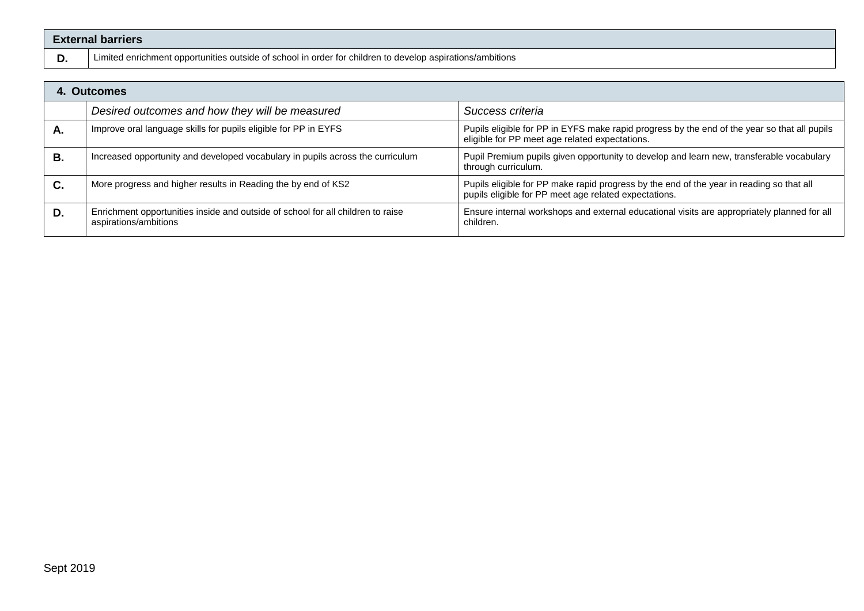| <b>External barriers</b> |                                                                                                           |                                                                                                                                                |  |  |  |  |
|--------------------------|-----------------------------------------------------------------------------------------------------------|------------------------------------------------------------------------------------------------------------------------------------------------|--|--|--|--|
| D.                       | Limited enrichment opportunities outside of school in order for children to develop aspirations/ambitions |                                                                                                                                                |  |  |  |  |
|                          | 4. Outcomes                                                                                               |                                                                                                                                                |  |  |  |  |
|                          | Desired outcomes and how they will be measured                                                            | Success criteria                                                                                                                               |  |  |  |  |
| А.                       | Improve oral language skills for pupils eligible for PP in EYFS                                           | Pupils eligible for PP in EYFS make rapid progress by the end of the year so that all pupils<br>eligible for PP meet age related expectations. |  |  |  |  |

**B.** Increased opportunity and developed vocabulary in pupils across the curriculum Pupil Premium pupils given opportunity to develop and learn new, transferable vocabulary

**C.** More progress and higher results in Reading the by end of KS2 **Pupils eligible for PP** make rapid progress by the end of the year in reading so that all

**D.** Enrichment opportunities inside and outside of school for all children to raise

aspirations/ambitions

through curriculum.

children.

pupils eligible for PP meet age related expectations.

Ensure internal workshops and external educational visits are appropriately planned for all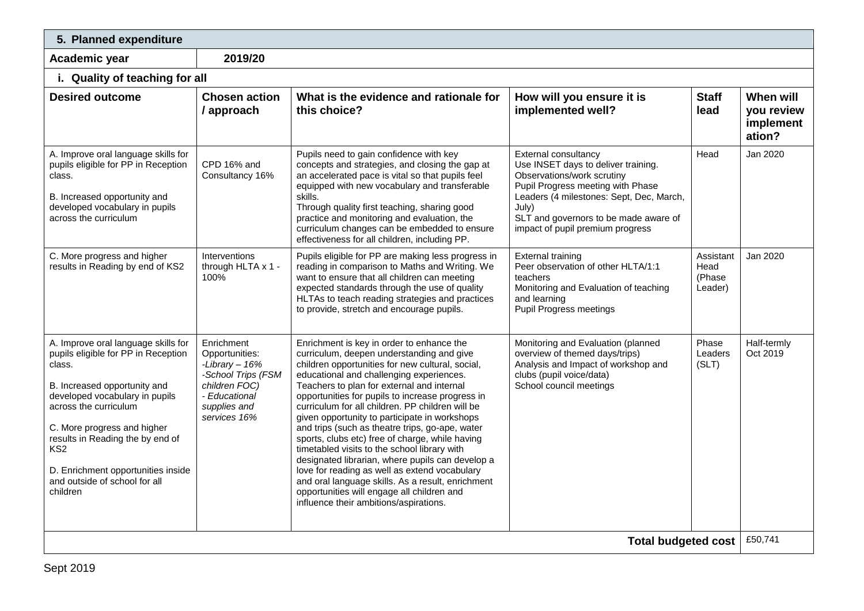| 5. Planned expenditure                                                                                                                                                                                                                                                                                                                                   |                                                                                                                                         |                                                                                                                                                                                                                                                                                                                                                                                                                                                                                                                                                                                                                                                                                                                                                                                                       |                                                                                                                                                                                                                                                                         |                                        |                                                |  |  |
|----------------------------------------------------------------------------------------------------------------------------------------------------------------------------------------------------------------------------------------------------------------------------------------------------------------------------------------------------------|-----------------------------------------------------------------------------------------------------------------------------------------|-------------------------------------------------------------------------------------------------------------------------------------------------------------------------------------------------------------------------------------------------------------------------------------------------------------------------------------------------------------------------------------------------------------------------------------------------------------------------------------------------------------------------------------------------------------------------------------------------------------------------------------------------------------------------------------------------------------------------------------------------------------------------------------------------------|-------------------------------------------------------------------------------------------------------------------------------------------------------------------------------------------------------------------------------------------------------------------------|----------------------------------------|------------------------------------------------|--|--|
| Academic year                                                                                                                                                                                                                                                                                                                                            | 2019/20                                                                                                                                 |                                                                                                                                                                                                                                                                                                                                                                                                                                                                                                                                                                                                                                                                                                                                                                                                       |                                                                                                                                                                                                                                                                         |                                        |                                                |  |  |
|                                                                                                                                                                                                                                                                                                                                                          | i. Quality of teaching for all                                                                                                          |                                                                                                                                                                                                                                                                                                                                                                                                                                                                                                                                                                                                                                                                                                                                                                                                       |                                                                                                                                                                                                                                                                         |                                        |                                                |  |  |
| <b>Desired outcome</b>                                                                                                                                                                                                                                                                                                                                   | <b>Chosen action</b><br>/ approach                                                                                                      | What is the evidence and rationale for<br>this choice?                                                                                                                                                                                                                                                                                                                                                                                                                                                                                                                                                                                                                                                                                                                                                | How will you ensure it is<br>implemented well?                                                                                                                                                                                                                          | <b>Staff</b><br>lead                   | When will<br>you review<br>implement<br>ation? |  |  |
| A. Improve oral language skills for<br>pupils eligible for PP in Reception<br>class.<br>B. Increased opportunity and<br>developed vocabulary in pupils<br>across the curriculum                                                                                                                                                                          | CPD 16% and<br>Consultancy 16%                                                                                                          | Pupils need to gain confidence with key<br>concepts and strategies, and closing the gap at<br>an accelerated pace is vital so that pupils feel<br>equipped with new vocabulary and transferable<br>skills.<br>Through quality first teaching, sharing good<br>practice and monitoring and evaluation, the<br>curriculum changes can be embedded to ensure<br>effectiveness for all children, including PP.                                                                                                                                                                                                                                                                                                                                                                                            | <b>External consultancy</b><br>Use INSET days to deliver training.<br>Observations/work scrutiny<br>Pupil Progress meeting with Phase<br>Leaders (4 milestones: Sept, Dec, March,<br>July)<br>SLT and governors to be made aware of<br>impact of pupil premium progress | Head                                   | Jan 2020                                       |  |  |
| C. More progress and higher<br>results in Reading by end of KS2                                                                                                                                                                                                                                                                                          | Interventions<br>through HLTA x 1 -<br>100%                                                                                             | Pupils eligible for PP are making less progress in<br>reading in comparison to Maths and Writing. We<br>want to ensure that all children can meeting<br>expected standards through the use of quality<br>HLTAs to teach reading strategies and practices<br>to provide, stretch and encourage pupils.                                                                                                                                                                                                                                                                                                                                                                                                                                                                                                 | <b>External training</b><br>Peer observation of other HLTA/1:1<br>teachers<br>Monitoring and Evaluation of teaching<br>and learning<br><b>Pupil Progress meetings</b>                                                                                                   | Assistant<br>Head<br>(Phase<br>Leader) | Jan 2020                                       |  |  |
| A. Improve oral language skills for<br>pupils eligible for PP in Reception<br>class.<br>B. Increased opportunity and<br>developed vocabulary in pupils<br>across the curriculum<br>C. More progress and higher<br>results in Reading the by end of<br>KS <sub>2</sub><br>D. Enrichment opportunities inside<br>and outside of school for all<br>children | Enrichment<br>Opportunities:<br>-Library $-16%$<br>-School Trips (FSM<br>children FOC)<br>- Educational<br>supplies and<br>services 16% | Enrichment is key in order to enhance the<br>curriculum, deepen understanding and give<br>children opportunities for new cultural, social,<br>educational and challenging experiences.<br>Teachers to plan for external and internal<br>opportunities for pupils to increase progress in<br>curriculum for all children. PP children will be<br>given opportunity to participate in workshops<br>and trips (such as theatre trips, go-ape, water<br>sports, clubs etc) free of charge, while having<br>timetabled visits to the school library with<br>designated librarian, where pupils can develop a<br>love for reading as well as extend vocabulary<br>and oral language skills. As a result, enrichment<br>opportunities will engage all children and<br>influence their ambitions/aspirations. | Monitoring and Evaluation (planned<br>overview of themed days/trips)<br>Analysis and Impact of workshop and<br>clubs (pupil voice/data)<br>School council meetings                                                                                                      | Phase<br>Leaders<br>(SLT)              | Half-termly<br>Oct 2019                        |  |  |
|                                                                                                                                                                                                                                                                                                                                                          |                                                                                                                                         |                                                                                                                                                                                                                                                                                                                                                                                                                                                                                                                                                                                                                                                                                                                                                                                                       | <b>Total budgeted cost</b>                                                                                                                                                                                                                                              |                                        | £50,741                                        |  |  |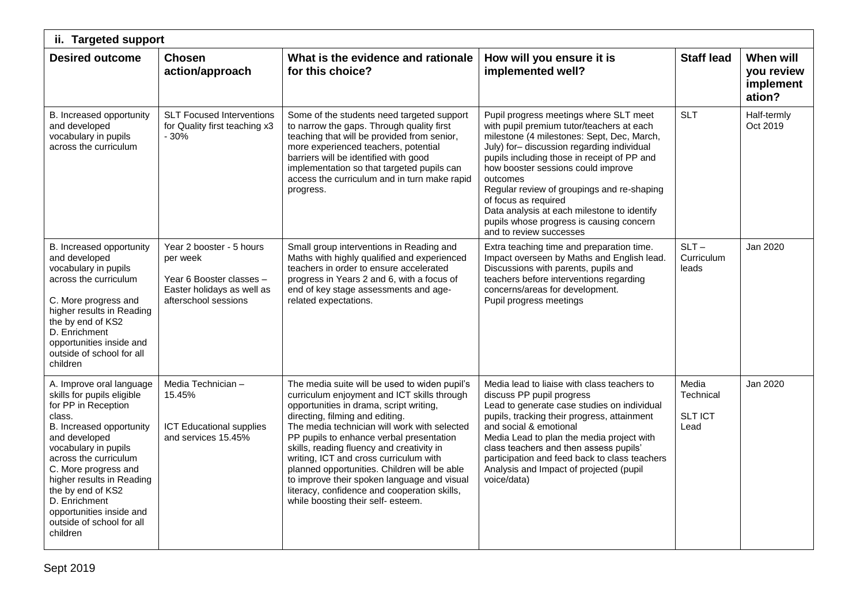| ii. Targeted support                                                                                                                                                                                                                                                                                                                                  |                                                                                                                        |                                                                                                                                                                                                                                                                                                                                                                                                                                                                                                                                                    |                                                                                                                                                                                                                                                                                                                                                                                                                                                                             |                                              |                                                |  |
|-------------------------------------------------------------------------------------------------------------------------------------------------------------------------------------------------------------------------------------------------------------------------------------------------------------------------------------------------------|------------------------------------------------------------------------------------------------------------------------|----------------------------------------------------------------------------------------------------------------------------------------------------------------------------------------------------------------------------------------------------------------------------------------------------------------------------------------------------------------------------------------------------------------------------------------------------------------------------------------------------------------------------------------------------|-----------------------------------------------------------------------------------------------------------------------------------------------------------------------------------------------------------------------------------------------------------------------------------------------------------------------------------------------------------------------------------------------------------------------------------------------------------------------------|----------------------------------------------|------------------------------------------------|--|
| <b>Desired outcome</b>                                                                                                                                                                                                                                                                                                                                | <b>Chosen</b><br>action/approach                                                                                       | What is the evidence and rationale<br>for this choice?                                                                                                                                                                                                                                                                                                                                                                                                                                                                                             | How will you ensure it is<br>implemented well?                                                                                                                                                                                                                                                                                                                                                                                                                              | <b>Staff lead</b>                            | When will<br>you review<br>implement<br>ation? |  |
| B. Increased opportunity<br>and developed<br>vocabulary in pupils<br>across the curriculum                                                                                                                                                                                                                                                            | <b>SLT Focused Interventions</b><br>for Quality first teaching x3<br>$-30%$                                            | Some of the students need targeted support<br>to narrow the gaps. Through quality first<br>teaching that will be provided from senior,<br>more experienced teachers, potential<br>barriers will be identified with good<br>implementation so that targeted pupils can<br>access the curriculum and in turn make rapid<br>progress.                                                                                                                                                                                                                 | Pupil progress meetings where SLT meet<br>with pupil premium tutor/teachers at each<br>milestone (4 milestones: Sept, Dec, March,<br>July) for-discussion regarding individual<br>pupils including those in receipt of PP and<br>how booster sessions could improve<br>outcomes<br>Regular review of groupings and re-shaping<br>of focus as required<br>Data analysis at each milestone to identify<br>pupils whose progress is causing concern<br>and to review successes | <b>SLT</b>                                   | Half-termly<br>Oct 2019                        |  |
| B. Increased opportunity<br>and developed<br>vocabulary in pupils<br>across the curriculum<br>C. More progress and<br>higher results in Reading<br>the by end of KS2<br>D. Enrichment<br>opportunities inside and<br>outside of school for all<br>children                                                                                            | Year 2 booster - 5 hours<br>per week<br>Year 6 Booster classes -<br>Easter holidays as well as<br>afterschool sessions | Small group interventions in Reading and<br>Maths with highly qualified and experienced<br>teachers in order to ensure accelerated<br>progress in Years 2 and 6, with a focus of<br>end of key stage assessments and age-<br>related expectations.                                                                                                                                                                                                                                                                                                 | Extra teaching time and preparation time.<br>Impact overseen by Maths and English lead.<br>Discussions with parents, pupils and<br>teachers before interventions regarding<br>concerns/areas for development.<br>Pupil progress meetings                                                                                                                                                                                                                                    | $SLT -$<br>Curriculum<br>leads               | Jan 2020                                       |  |
| A. Improve oral language<br>skills for pupils eligible<br>for PP in Reception<br>class.<br>B. Increased opportunity<br>and developed<br>vocabulary in pupils<br>across the curriculum<br>C. More progress and<br>higher results in Reading<br>the by end of KS2<br>D. Enrichment<br>opportunities inside and<br>outside of school for all<br>children | Media Technician -<br>15.45%<br><b>ICT Educational supplies</b><br>and services 15.45%                                 | The media suite will be used to widen pupil's<br>curriculum enjoyment and ICT skills through<br>opportunities in drama, script writing,<br>directing, filming and editing.<br>The media technician will work with selected<br>PP pupils to enhance verbal presentation<br>skills, reading fluency and creativity in<br>writing, ICT and cross curriculum with<br>planned opportunities. Children will be able<br>to improve their spoken language and visual<br>literacy, confidence and cooperation skills,<br>while boosting their self- esteem. | Media lead to liaise with class teachers to<br>discuss PP pupil progress<br>Lead to generate case studies on individual<br>pupils, tracking their progress, attainment<br>and social & emotional<br>Media Lead to plan the media project with<br>class teachers and then assess pupils'<br>participation and feed back to class teachers<br>Analysis and Impact of projected (pupil<br>voice/data)                                                                          | Media<br>Technical<br><b>SLT ICT</b><br>Lead | Jan 2020                                       |  |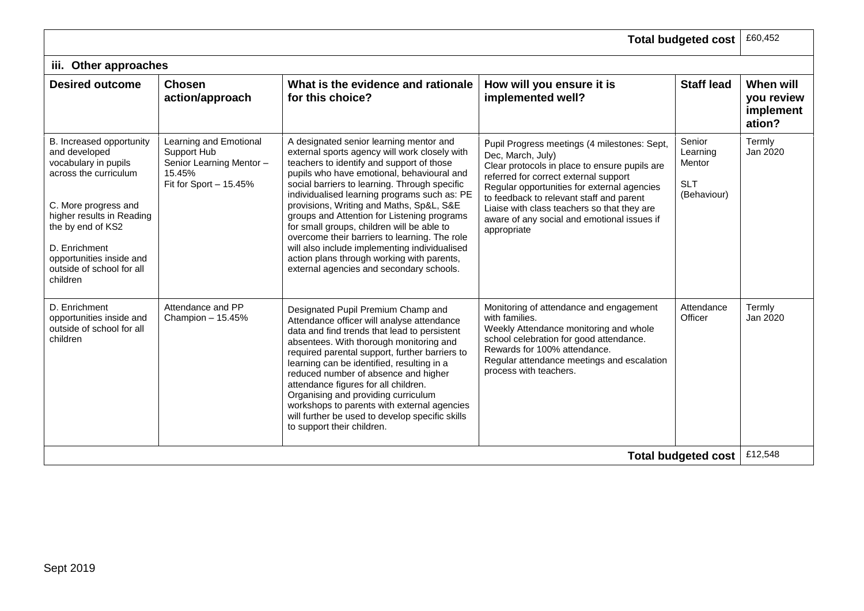|                                                                                                                                                                                                                                                            |                                                                                                       |                                                                                                                                                                                                                                                                                                                                                                                                                                                                                                                                                                                                                           |                                                                                                                                                                                                                                                                                                                                                                     | <b>Total budgeted cost</b>                                | £60,452                                        |
|------------------------------------------------------------------------------------------------------------------------------------------------------------------------------------------------------------------------------------------------------------|-------------------------------------------------------------------------------------------------------|---------------------------------------------------------------------------------------------------------------------------------------------------------------------------------------------------------------------------------------------------------------------------------------------------------------------------------------------------------------------------------------------------------------------------------------------------------------------------------------------------------------------------------------------------------------------------------------------------------------------------|---------------------------------------------------------------------------------------------------------------------------------------------------------------------------------------------------------------------------------------------------------------------------------------------------------------------------------------------------------------------|-----------------------------------------------------------|------------------------------------------------|
| iii. Other approaches                                                                                                                                                                                                                                      |                                                                                                       |                                                                                                                                                                                                                                                                                                                                                                                                                                                                                                                                                                                                                           |                                                                                                                                                                                                                                                                                                                                                                     |                                                           |                                                |
| <b>Desired outcome</b>                                                                                                                                                                                                                                     | <b>Chosen</b><br>action/approach                                                                      | What is the evidence and rationale<br>for this choice?                                                                                                                                                                                                                                                                                                                                                                                                                                                                                                                                                                    | How will you ensure it is<br>implemented well?                                                                                                                                                                                                                                                                                                                      | <b>Staff lead</b>                                         | When will<br>you review<br>implement<br>ation? |
| B. Increased opportunity<br>and developed<br>vocabulary in pupils<br>across the curriculum<br>C. More progress and<br>higher results in Reading<br>the by end of KS2<br>D. Enrichment<br>opportunities inside and<br>outside of school for all<br>children | Learning and Emotional<br>Support Hub<br>Senior Learning Mentor -<br>15.45%<br>Fit for Sport - 15.45% | A designated senior learning mentor and<br>external sports agency will work closely with<br>teachers to identify and support of those<br>pupils who have emotional, behavioural and<br>social barriers to learning. Through specific<br>individualised learning programs such as: PE<br>provisions, Writing and Maths, Sp&L, S&E<br>groups and Attention for Listening programs<br>for small groups, children will be able to<br>overcome their barriers to learning. The role<br>will also include implementing individualised<br>action plans through working with parents,<br>external agencies and secondary schools. | Pupil Progress meetings (4 milestones: Sept,<br>Dec, March, July)<br>Clear protocols in place to ensure pupils are<br>referred for correct external support<br>Regular opportunities for external agencies<br>to feedback to relevant staff and parent<br>Liaise with class teachers so that they are<br>aware of any social and emotional issues if<br>appropriate | Senior<br>Learning<br>Mentor<br><b>SLT</b><br>(Behaviour) | Termly<br>Jan 2020                             |
| D. Enrichment<br>opportunities inside and<br>outside of school for all<br>children                                                                                                                                                                         | Attendance and PP<br>Champion - 15.45%                                                                | Designated Pupil Premium Champ and<br>Attendance officer will analyse attendance<br>data and find trends that lead to persistent<br>absentees. With thorough monitoring and<br>required parental support, further barriers to<br>learning can be identified, resulting in a<br>reduced number of absence and higher<br>attendance figures for all children.<br>Organising and providing curriculum<br>workshops to parents with external agencies<br>will further be used to develop specific skills<br>to support their children.                                                                                        | Monitoring of attendance and engagement<br>with families.<br>Weekly Attendance monitoring and whole<br>school celebration for good attendance.<br>Rewards for 100% attendance.<br>Regular attendance meetings and escalation<br>process with teachers.                                                                                                              | Attendance<br>Officer                                     | Termly<br>Jan 2020                             |
|                                                                                                                                                                                                                                                            |                                                                                                       |                                                                                                                                                                                                                                                                                                                                                                                                                                                                                                                                                                                                                           |                                                                                                                                                                                                                                                                                                                                                                     | <b>Total budgeted cost</b>                                | £12,548                                        |